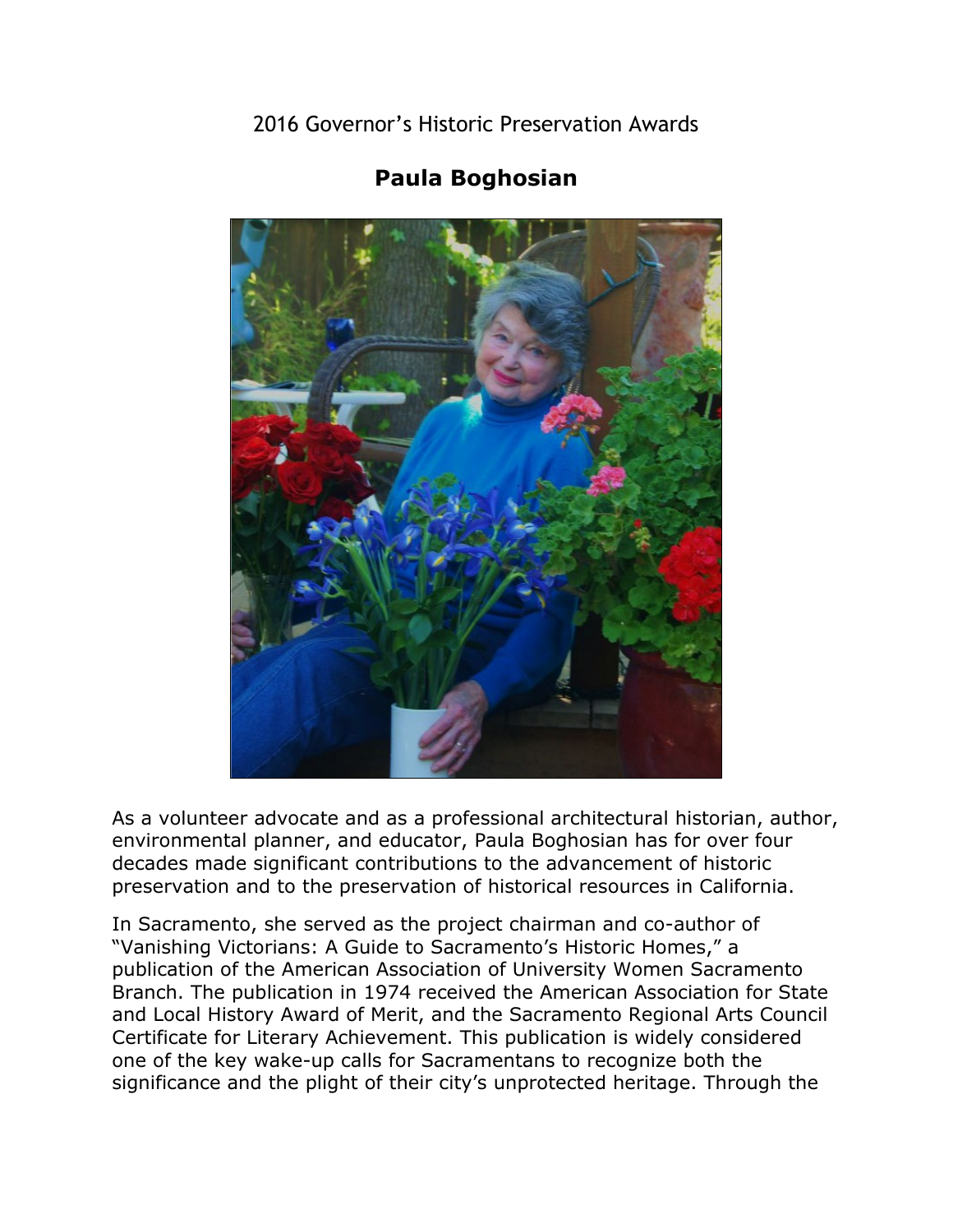2016 Governor's Historic Preservation Awards



## **Paula Boghosian**

As a volunteer advocate and as a professional architectural historian, author, environmental planner, and educator, Paula Boghosian has for over four decades made significant contributions to the advancement of historic preservation and to the preservation of historical resources in California.

In Sacramento, she served as the project chairman and co-author of "Vanishing Victorians: A Guide to Sacramento's Historic Homes," a publication of the American Association of University Women Sacramento Branch. The publication in 1974 received the American Association for State and Local History Award of Merit, and the Sacramento Regional Arts Council Certificate for Literary Achievement. This publication is widely considered one of the key wake-up calls for Sacramentans to recognize both the significance and the plight of their city's unprotected heritage. Through the